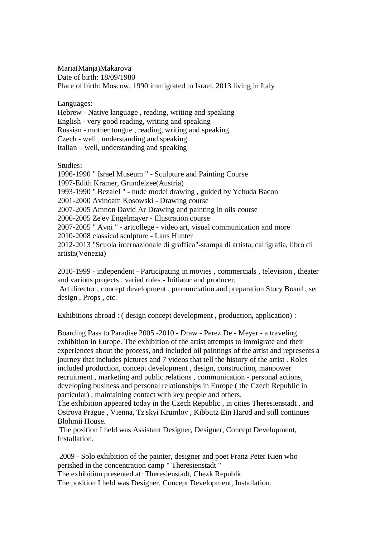Maria(Manja)Makarova Date of birth: 18/09/1980 Place of birth: Moscow, 1990 immigrated to Israel, 2013 living in Italy

Languages:

Hebrew - Native language , reading, writing and speaking English - very good reading, writing and speaking Russian - mother tongue , reading, writing and speaking Czech - well , understanding and speaking Italian – well, understanding and speaking

Studies:

1996-1990 " Israel Museum " - Sculpture and Painting Course 1997-Edith Kramer, Grundelzee(Austria) 1993-1990 " Bezalel " - nude model drawing , guided by Yehuda Bacon 2001-2000 Avinoam Kosowski - Drawing course 2007-2005 Amnon David Ar Drawing and painting in oils course 2006-2005 Ze'ev Engelmayer - Illustration course 2007-2005 " Avni " - artcollege - video art, visual communication and more 2010-2008 classical sculpture - Lans Hunter 2012-2013 "Scuola internazionale di graffica"-stampa di artista, calligrafia, libro di artista(Venezia)

2010-1999 - independent - Participating in movies , commercials , television , theater and various projects , varied roles - Initiator and producer, Art director , concept development , pronunciation and preparation Story Board , set

design , Props , etc.

Exhibitions abroad : ( design concept development , production, application) :

Boarding Pass to Paradise 2005 -2010 - Draw - Perez De - Meyer - a traveling exhibition in Europe. The exhibition of the artist attempts to immigrate and their experiences about the process, and included oil paintings of the artist and represents a journey that includes pictures and 7 videos that tell the history of the artist . Roles included production, concept development , design, construction, manpower recruitment , marketing and public relations , communication - personal actions, developing business and personal relationships in Europe ( the Czech Republic in particular) , maintaining contact with key people and others.

The exhibition appeared today in the Czech Republic , in cities Theresienstadt , and Ostrova Prague , Vienna, Tz'skyi Krumlov , Kibbutz Ein Harod and still continues Blohmii House.

The position I held was Assistant Designer, Designer, Concept Development, Installation.

2009 - Solo exhibition of the painter, designer and poet Franz Peter Kien who perished in the concentration camp " Theresienstadt " The exhibition presented at: Theresienstadt, Chezk Republic The position I held was Designer, Concept Development, Installation.